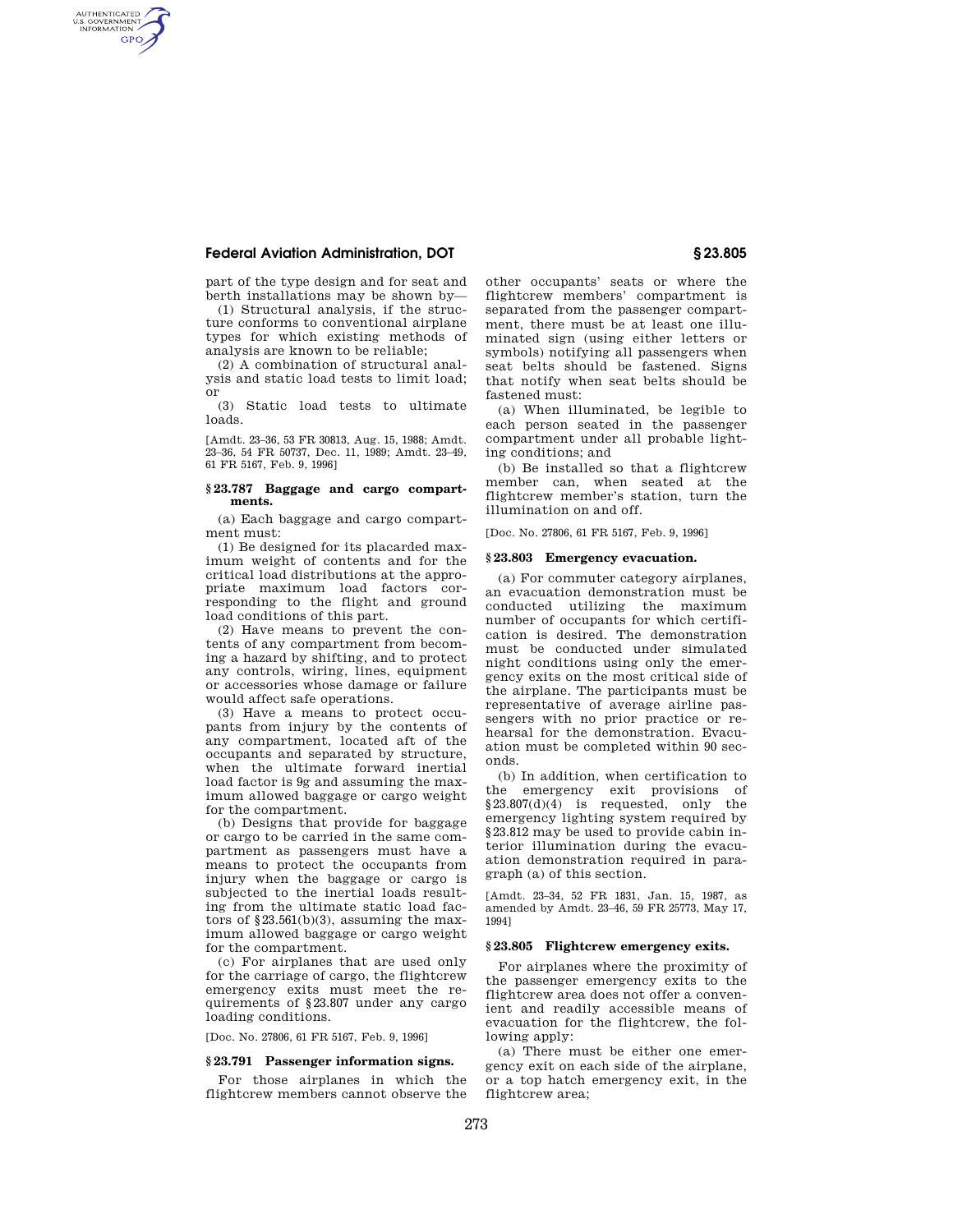# **Federal Aviation Administration, DOT § 23.805**

AUTHENTICATED<br>U.S. GOVERNMENT<br>INFORMATION **GPO** 

> part of the type design and for seat and berth installations may be shown by—

> (1) Structural analysis, if the structure conforms to conventional airplane types for which existing methods of analysis are known to be reliable;

> (2) A combination of structural analysis and static load tests to limit load; or

> (3) Static load tests to ultimate loads.

> [Amdt. 23–36, 53 FR 30813, Aug. 15, 1988; Amdt. 23–36, 54 FR 50737, Dec. 11, 1989; Amdt. 23–49, 61 FR 5167, Feb. 9, 1996]

## **§ 23.787 Baggage and cargo compartments.**

(a) Each baggage and cargo compartment must:

(1) Be designed for its placarded maximum weight of contents and for the critical load distributions at the appropriate maximum load factors corresponding to the flight and ground load conditions of this part.

(2) Have means to prevent the contents of any compartment from becoming a hazard by shifting, and to protect any controls, wiring, lines, equipment or accessories whose damage or failure would affect safe operations.

(3) Have a means to protect occupants from injury by the contents of any compartment, located aft of the occupants and separated by structure, when the ultimate forward inertial load factor is 9g and assuming the maximum allowed baggage or cargo weight for the compartment.

(b) Designs that provide for baggage or cargo to be carried in the same compartment as passengers must have a means to protect the occupants from injury when the baggage or cargo is subjected to the inertial loads resulting from the ultimate static load factors of  $$23.561(b)(3)$ , assuming the maximum allowed baggage or cargo weight for the compartment.

(c) For airplanes that are used only for the carriage of cargo, the flightcrew emergency exits must meet the requirements of §23.807 under any cargo loading conditions.

[Doc. No. 27806, 61 FR 5167, Feb. 9, 1996]

## **§ 23.791 Passenger information signs.**

For those airplanes in which the flightcrew members cannot observe the

other occupants' seats or where the flightcrew members' compartment is separated from the passenger compartment, there must be at least one illuminated sign (using either letters or symbols) notifying all passengers when seat belts should be fastened. Signs that notify when seat belts should be fastened must:

(a) When illuminated, be legible to each person seated in the passenger compartment under all probable lighting conditions; and

(b) Be installed so that a flightcrew member can, when seated at the flightcrew member's station, turn the illumination on and off.

[Doc. No. 27806, 61 FR 5167, Feb. 9, 1996]

### **§ 23.803 Emergency evacuation.**

(a) For commuter category airplanes, an evacuation demonstration must be conducted utilizing the maximum number of occupants for which certification is desired. The demonstration must be conducted under simulated night conditions using only the emergency exits on the most critical side of the airplane. The participants must be representative of average airline passengers with no prior practice or rehearsal for the demonstration. Evacuation must be completed within 90 seconds.

(b) In addition, when certification to the emergency exit provisions of §23.807(d)(4) is requested, only the emergency lighting system required by §23.812 may be used to provide cabin interior illumination during the evacuation demonstration required in paragraph (a) of this section.

[Amdt. 23–34, 52 FR 1831, Jan. 15, 1987, as amended by Amdt. 23–46, 59 FR 25773, May 17, 1994]

# **§ 23.805 Flightcrew emergency exits.**

For airplanes where the proximity of the passenger emergency exits to the flightcrew area does not offer a convenient and readily accessible means of evacuation for the flightcrew, the following apply:

(a) There must be either one emergency exit on each side of the airplane, or a top hatch emergency exit, in the flightcrew area;